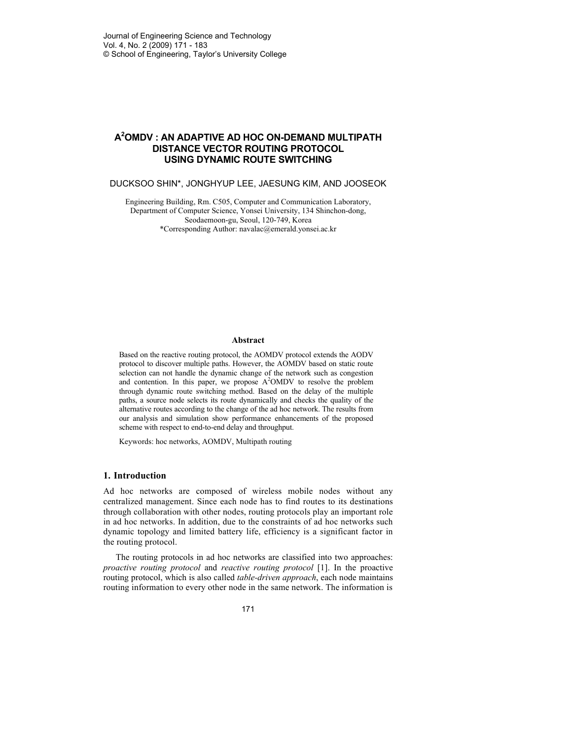# **A <sup>2</sup>OMDV : AN ADAPTIVE AD HOC ON-DEMAND MULTIPATH DISTANCE VECTOR ROUTING PROTOCOL USING DYNAMIC ROUTE SWITCHING**

DUCKSOO SHIN\*, JONGHYUP LEE, JAESUNG KIM, AND JOOSEOK

Engineering Building, Rm. C505, Computer and Communication Laboratory, Department of Computer Science, Yonsei University, 134 Shinchon-dong, Seodaemoon-gu, Seoul, 120-749, Korea \*Corresponding Author: navalac@emerald.yonsei.ac.kr

#### **Abstract**

Based on the reactive routing protocol, the AOMDV protocol extends the AODV protocol to discover multiple paths. However, the AOMDV based on static route selection can not handle the dynamic change of the network such as congestion and contention. In this paper, we propose  $A<sup>2</sup>OMDV$  to resolve the problem through dynamic route switching method. Based on the delay of the multiple paths, a source node selects its route dynamically and checks the quality of the alternative routes according to the change of the ad hoc network. The results from our analysis and simulation show performance enhancements of the proposed scheme with respect to end-to-end delay and throughput.

Keywords: hoc networks, AOMDV, Multipath routing

### **1. Introduction**

Ad hoc networks are composed of wireless mobile nodes without any centralized management. Since each node has to find routes to its destinations through collaboration with other nodes, routing protocols play an important role in ad hoc networks. In addition, due to the constraints of ad hoc networks such dynamic topology and limited battery life, efficiency is a significant factor in the routing protocol.

The routing protocols in ad hoc networks are classified into two approaches: *proactive routing protocol* and *reactive routing protocol* [1]. In the proactive routing protocol, which is also called *table-driven approach*, each node maintains routing information to every other node in the same network. The information is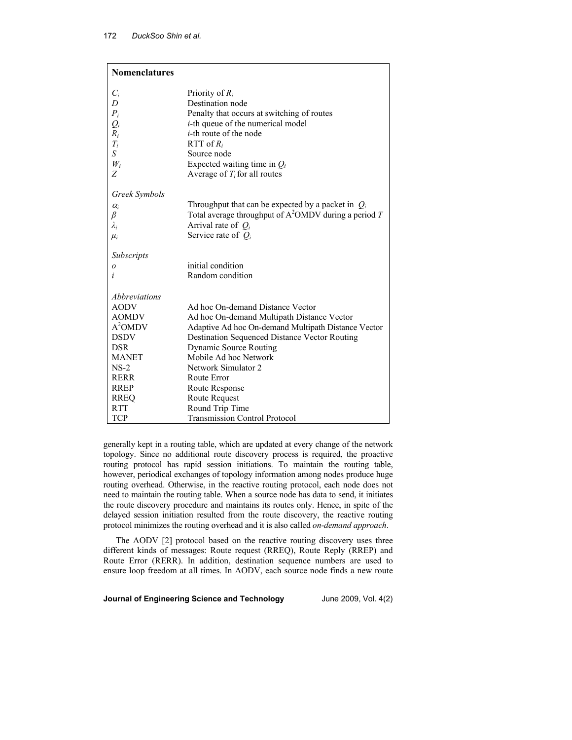| <b>Nomenclatures</b> |                                                         |
|----------------------|---------------------------------------------------------|
| $C_i$                | Priority of $R_i$                                       |
| D                    | Destination node                                        |
| $P_i$                | Penalty that occurs at switching of routes              |
| $Q_i$                | <i>i</i> -th queue of the numerical model               |
| $R_i$                | <i>i</i> -th route of the node                          |
| $T_i$                | RTT of $R_i$                                            |
| $\boldsymbol{S}$     | Source node                                             |
| $W_i$                | Expected waiting time in $Q_i$                          |
| Ζ                    | Average of $T_i$ for all routes                         |
| Greek Symbols        |                                                         |
| $\alpha_i$           | Throughput that can be expected by a packet in $Q_i$    |
| $_{\beta}$           | Total average throughput of $A^2OMDV$ during a period T |
| $\lambda_i$          | Arrival rate of $Q_i$                                   |
| $\mu_i$              | Service rate of $Q_i$                                   |
| <b>Subscripts</b>    |                                                         |
| o                    | initial condition                                       |
| i                    | Random condition                                        |
| Abbreviations        |                                                         |
| <b>AODV</b>          | Ad hoc On-demand Distance Vector                        |
| <b>AOMDV</b>         | Ad hoc On-demand Multipath Distance Vector              |
| A <sup>2</sup> OMDV  | Adaptive Ad hoc On-demand Multipath Distance Vector     |
| <b>DSDV</b>          | Destination Sequenced Distance Vector Routing           |
| <b>DSR</b>           | Dynamic Source Routing                                  |
| <b>MANET</b>         | Mobile Ad hoc Network                                   |
| $NS-2$               | Network Simulator 2                                     |
| <b>RERR</b>          | Route Error                                             |
| <b>RREP</b>          | Route Response                                          |
| <b>RREQ</b>          | Route Request                                           |
| <b>RTT</b>           | Round Trip Time                                         |
| TCP                  | <b>Transmission Control Protocol</b>                    |

generally kept in a routing table, which are updated at every change of the network topology. Since no additional route discovery process is required, the proactive routing protocol has rapid session initiations. To maintain the routing table, however, periodical exchanges of topology information among nodes produce huge routing overhead. Otherwise, in the reactive routing protocol, each node does not need to maintain the routing table. When a source node has data to send, it initiates the route discovery procedure and maintains its routes only. Hence, in spite of the delayed session initiation resulted from the route discovery, the reactive routing protocol minimizes the routing overhead and it is also called *on-demand approach*.

The AODV [2] protocol based on the reactive routing discovery uses three different kinds of messages: Route request (RREQ), Route Reply (RREP) and Route Error (RERR). In addition, destination sequence numbers are used to ensure loop freedom at all times. In AODV, each source node finds a new route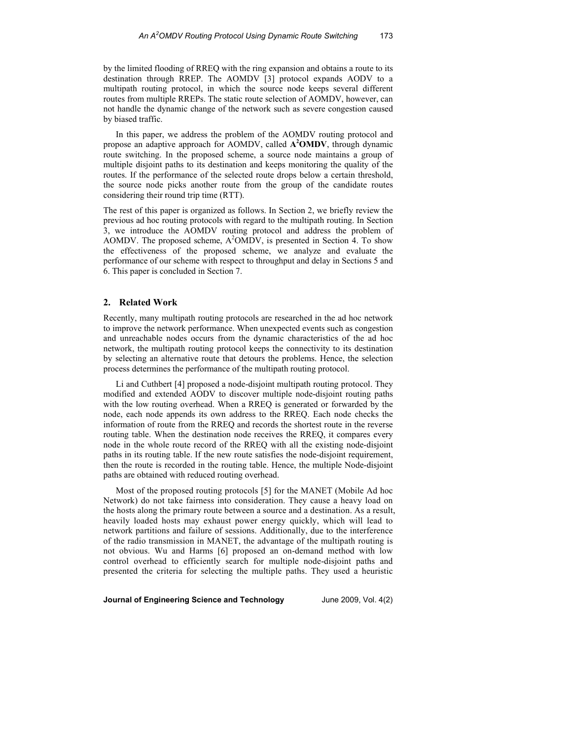by the limited flooding of RREQ with the ring expansion and obtains a route to its destination through RREP. The AOMDV [3] protocol expands AODV to a multipath routing protocol, in which the source node keeps several different routes from multiple RREPs. The static route selection of AOMDV, however, can not handle the dynamic change of the network such as severe congestion caused by biased traffic.

In this paper, we address the problem of the AOMDV routing protocol and propose an adaptive approach for AOMDV, called **A <sup>2</sup>OMDV**, through dynamic route switching. In the proposed scheme, a source node maintains a group of multiple disjoint paths to its destination and keeps monitoring the quality of the routes. If the performance of the selected route drops below a certain threshold, the source node picks another route from the group of the candidate routes considering their round trip time (RTT).

The rest of this paper is organized as follows. In Section 2, we briefly review the previous ad hoc routing protocols with regard to the multipath routing. In Section 3, we introduce the AOMDV routing protocol and address the problem of AOMDV. The proposed scheme,  $A<sup>2</sup>OMDV$ , is presented in Section 4. To show the effectiveness of the proposed scheme, we analyze and evaluate the performance of our scheme with respect to throughput and delay in Sections 5 and 6. This paper is concluded in Section 7.

## **2. Related Work**

Recently, many multipath routing protocols are researched in the ad hoc network to improve the network performance. When unexpected events such as congestion and unreachable nodes occurs from the dynamic characteristics of the ad hoc network, the multipath routing protocol keeps the connectivity to its destination by selecting an alternative route that detours the problems. Hence, the selection process determines the performance of the multipath routing protocol.

Li and Cuthbert [4] proposed a node-disjoint multipath routing protocol. They modified and extended AODV to discover multiple node-disjoint routing paths with the low routing overhead. When a RREQ is generated or forwarded by the node, each node appends its own address to the RREQ. Each node checks the information of route from the RREQ and records the shortest route in the reverse routing table. When the destination node receives the RREQ, it compares every node in the whole route record of the RREQ with all the existing node-disjoint paths in its routing table. If the new route satisfies the node-disjoint requirement, then the route is recorded in the routing table. Hence, the multiple Node-disjoint paths are obtained with reduced routing overhead.

Most of the proposed routing protocols [5] for the MANET (Mobile Ad hoc Network) do not take fairness into consideration. They cause a heavy load on the hosts along the primary route between a source and a destination. As a result, heavily loaded hosts may exhaust power energy quickly, which will lead to network partitions and failure of sessions. Additionally, due to the interference of the radio transmission in MANET, the advantage of the multipath routing is not obvious. Wu and Harms [6] proposed an on-demand method with low control overhead to efficiently search for multiple node-disjoint paths and presented the criteria for selecting the multiple paths. They used a heuristic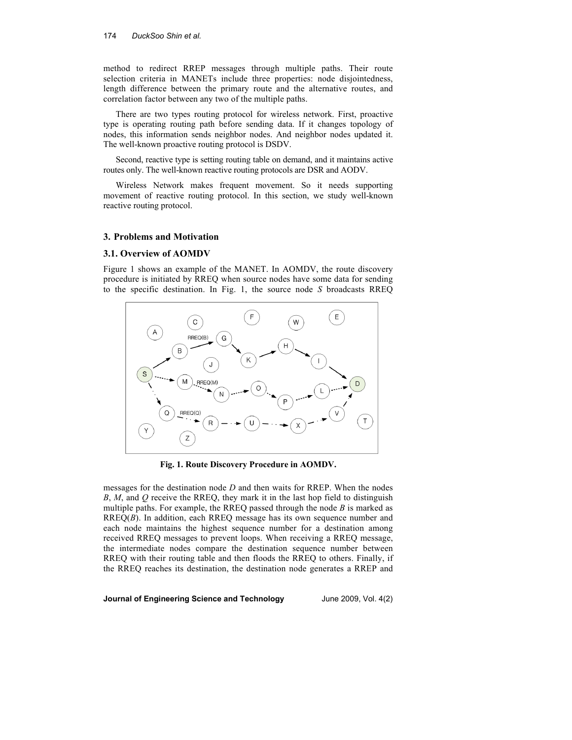method to redirect RREP messages through multiple paths. Their route selection criteria in MANETs include three properties: node disjointedness, length difference between the primary route and the alternative routes, and correlation factor between any two of the multiple paths.

There are two types routing protocol for wireless network. First, proactive type is operating routing path before sending data. If it changes topology of nodes, this information sends neighbor nodes. And neighbor nodes updated it. The well-known proactive routing protocol is DSDV.

Second, reactive type is setting routing table on demand, and it maintains active routes only. The well-known reactive routing protocols are DSR and AODV.

Wireless Network makes frequent movement. So it needs supporting movement of reactive routing protocol. In this section, we study well-known reactive routing protocol.

## **3. Problems and Motivation**

### **3.1. Overview of AOMDV**

Figure 1 shows an example of the MANET. In AOMDV, the route discovery procedure is initiated by RREQ when source nodes have some data for sending to the specific destination. In Fig. 1, the source node *S* broadcasts RREQ



**Fig. 1. Route Discovery Procedure in AOMDV.** 

messages for the destination node *D* and then waits for RREP. When the nodes *B*, *M*, and *Q* receive the RREQ, they mark it in the last hop field to distinguish multiple paths. For example, the RREQ passed through the node *B* is marked as RREQ(*B*). In addition, each RREQ message has its own sequence number and each node maintains the highest sequence number for a destination among received RREQ messages to prevent loops. When receiving a RREQ message, the intermediate nodes compare the destination sequence number between RREQ with their routing table and then floods the RREQ to others. Finally, if the RREQ reaches its destination, the destination node generates a RREP and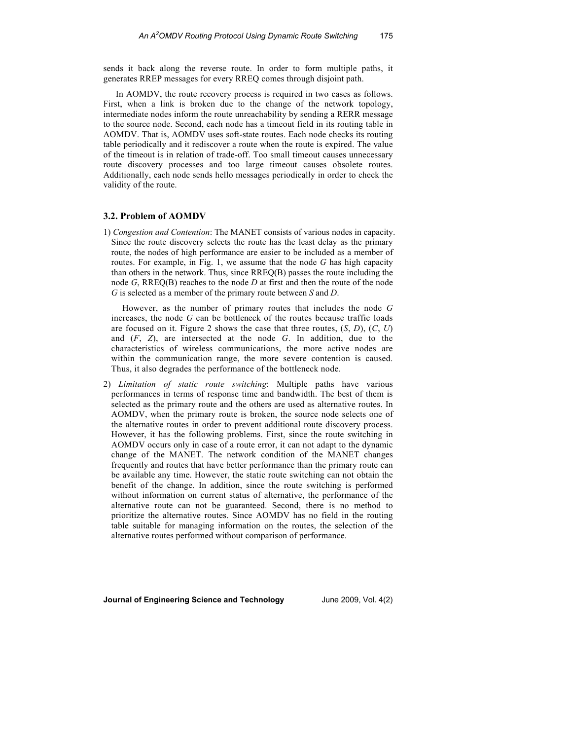sends it back along the reverse route. In order to form multiple paths, it generates RREP messages for every RREQ comes through disjoint path.

In AOMDV, the route recovery process is required in two cases as follows. First, when a link is broken due to the change of the network topology, intermediate nodes inform the route unreachability by sending a RERR message to the source node. Second, each node has a timeout field in its routing table in AOMDV. That is, AOMDV uses soft-state routes. Each node checks its routing table periodically and it rediscover a route when the route is expired. The value of the timeout is in relation of trade-off. Too small timeout causes unnecessary route discovery processes and too large timeout causes obsolete routes. Additionally, each node sends hello messages periodically in order to check the validity of the route.

### **3.2. Problem of AOMDV**

1) *Congestion and Contention*: The MANET consists of various nodes in capacity. Since the route discovery selects the route has the least delay as the primary route, the nodes of high performance are easier to be included as a member of routes. For example, in Fig. 1, we assume that the node *G* has high capacity than others in the network. Thus, since RREQ(B) passes the route including the node *G*, RREQ(B) reaches to the node *D* at first and then the route of the node *G* is selected as a member of the primary route between *S* and *D*.

 However, as the number of primary routes that includes the node *G* increases, the node *G* can be bottleneck of the routes because traffic loads are focused on it. Figure 2 shows the case that three routes, (*S*, *D*), (*C*, *U*) and (*F*, *Z*), are intersected at the node *G*. In addition, due to the characteristics of wireless communications, the more active nodes are within the communication range, the more severe contention is caused. Thus, it also degrades the performance of the bottleneck node.

2) *Limitation of static route switching*: Multiple paths have various performances in terms of response time and bandwidth. The best of them is selected as the primary route and the others are used as alternative routes. In AOMDV, when the primary route is broken, the source node selects one of the alternative routes in order to prevent additional route discovery process. However, it has the following problems. First, since the route switching in AOMDV occurs only in case of a route error, it can not adapt to the dynamic change of the MANET. The network condition of the MANET changes frequently and routes that have better performance than the primary route can be available any time. However, the static route switching can not obtain the benefit of the change. In addition, since the route switching is performed without information on current status of alternative, the performance of the alternative route can not be guaranteed. Second, there is no method to prioritize the alternative routes. Since AOMDV has no field in the routing table suitable for managing information on the routes, the selection of the alternative routes performed without comparison of performance.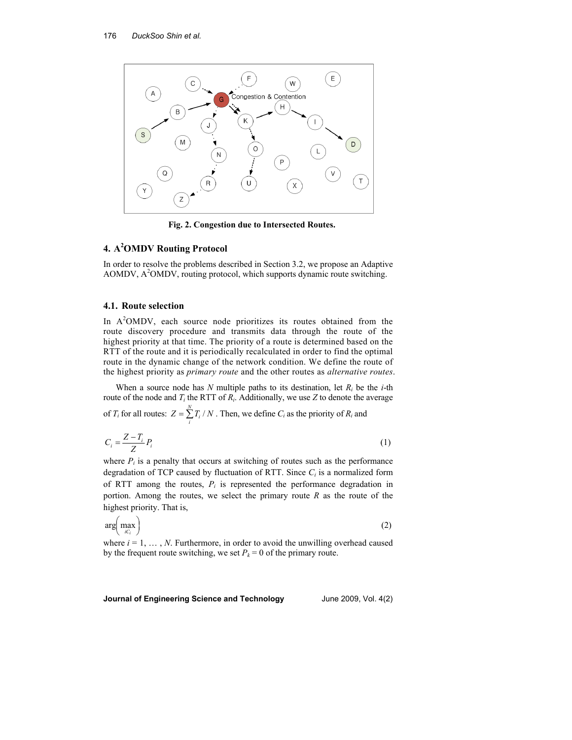

**Fig. 2. Congestion due to Intersected Routes.** 

# **4. A<sup>2</sup>OMDV Routing Protocol**

In order to resolve the problems described in Section 3.2, we propose an Adaptive  $AOMDV$ ,  $A<sup>2</sup>OMDV$ , routing protocol, which supports dynamic route switching.

## **4.1. Route selection**

In  $A<sup>2</sup>OMDV$ , each source node prioritizes its routes obtained from the route discovery procedure and transmits data through the route of the highest priority at that time. The priority of a route is determined based on the RTT of the route and it is periodically recalculated in order to find the optimal route in the dynamic change of the network condition. We define the route of the highest priority as *primary route* and the other routes as *alternative routes*.

When a source node has  $N$  multiple paths to its destination, let  $R_i$  be the  $i$ -th route of the node and  $T_i$  the RTT of  $R_i$ . Additionally, we use  $Z$  to denote the average of  $T_i$  for all routes:  $Z = \sum_{i=1}^{N} T_i / N_i$  $=\sum_i T_i / N$ . Then, we define *C<sub>i</sub>* as the priority of *R<sub>i</sub>* and

$$
C_i = \frac{Z - T_i}{Z} P_i \tag{1}
$$

where  $P_i$  is a penalty that occurs at switching of routes such as the performance degradation of TCP caused by fluctuation of RTT. Since *C<sup>i</sup>* is a normalized form of RTT among the routes,  $P_i$  is represented the performance degradation in portion. Among the routes, we select the primary route *R* as the route of the highest priority. That is,

$$
\arg\left(\max_{i\in I}\right) \tag{2}
$$

where  $i = 1, \ldots, N$ . Furthermore, in order to avoid the unwilling overhead caused by the frequent route switching, we set  $P_k = 0$  of the primary route.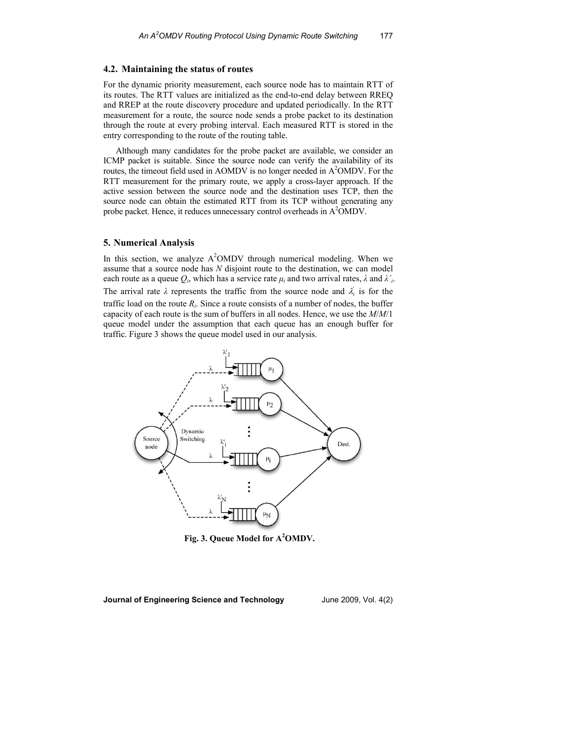### **4.2. Maintaining the status of routes**

For the dynamic priority measurement, each source node has to maintain RTT of its routes. The RTT values are initialized as the end-to-end delay between RREQ and RREP at the route discovery procedure and updated periodically. In the RTT measurement for a route, the source node sends a probe packet to its destination through the route at every probing interval. Each measured RTT is stored in the entry corresponding to the route of the routing table.

Although many candidates for the probe packet are available, we consider an ICMP packet is suitable. Since the source node can verify the availability of its routes, the timeout field used in AOMDV is no longer needed in  $A<sup>2</sup>OMDV$ . For the RTT measurement for the primary route, we apply a cross-layer approach. If the active session between the source node and the destination uses TCP, then the source node can obtain the estimated RTT from its TCP without generating any probe packet. Hence, it reduces unnecessary control overheads in A<sup>2</sup>OMDV.

#### **5. Numerical Analysis**

In this section, we analyze  $A^2OMDV$  through numerical modeling. When we assume that a source node has *N* disjoint route to the destination, we can model each route as a queue  $Q_i$ , which has a service rate  $\mu_i$  and two arrival rates,  $\lambda$  and  $\lambda'_i$ . The arrival rate  $\lambda$  represents the traffic from the source node and  $\lambda_i$  is for the traffic load on the route  $R_i$ . Since a route consists of a number of nodes, the buffer capacity of each route is the sum of buffers in all nodes. Hence, we use the *M*/*M*/1 queue model under the assumption that each queue has an enough buffer for traffic. Figure 3 shows the queue model used in our analysis.



**Fig. 3. Queue Model for A<sup>2</sup>OMDV.**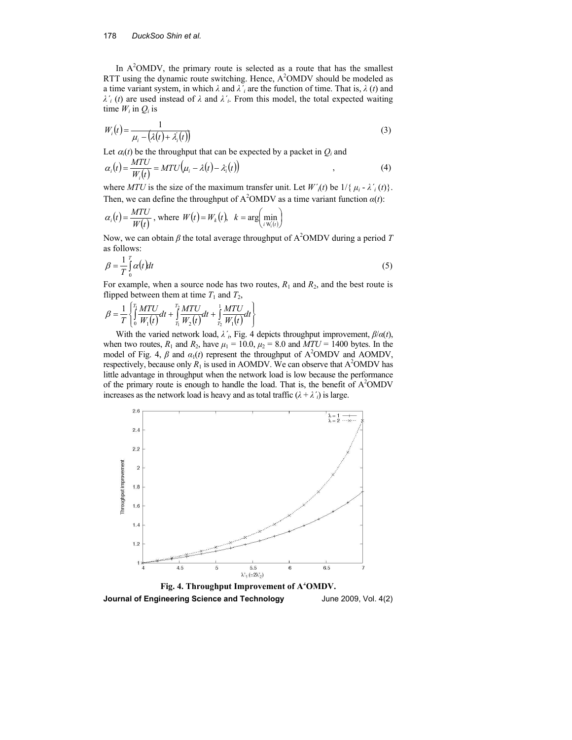#### 178 *DuckSoo Shin et al.*

In  $A<sup>2</sup>OMDV$ , the primary route is selected as a route that has the smallest RTT using the dynamic route switching. Hence,  $A<sup>2</sup>OMDV$  should be modeled as a time variant system, in which  $\lambda$  and  $\lambda'$  are the function of time. That is,  $\lambda$  (*t*) and  $\lambda'$ <sup>*i*</sup> (*t*) are used instead of  $\lambda$  and  $\lambda'$ <sup>*'*</sup><sub>*i*</sub>. From this model, the total expected waiting time  $W_i$  in  $Q_i$  is

$$
W_i(t) = \frac{1}{\mu_i - \left(\lambda(t) + \lambda_i(t)\right)}
$$
\n(3)

Let  $\alpha_i(t)$  be the throughput that can be expected by a packet in  $Q_i$  and

$$
\alpha_i(t) = \frac{MTU}{W_i(t)} = MTU(\mu_i - \lambda(t) - \lambda_i(t))
$$
\n(4)

where *MTU* is the size of the maximum transfer unit. Let  $W'(t)$  be  $1/\{ \mu_i - \lambda'_{i}(t) \}$ . Then, we can define the throughput of  $A^2OMDV$  as a time variant function  $\alpha(t)$ :

$$
\alpha_i(t) = \frac{MTU}{W(t)}
$$
, where  $W(t) = W_k(t)$ ,  $k = \arg\left(\min_{t:W_i(t)}\right)$ 

Now, we can obtain  $\beta$  the total average throughput of A<sup>2</sup>OMDV during a period *T* as follows:

$$
\beta = \frac{1}{T} \int_{0}^{T} \alpha(t) dt
$$
\n(5)

For example, when a source node has two routes,  $R_1$  and  $R_2$ , and the best route is flipped between them at time  $T_1$  and  $T_2$ ,

$$
\beta = \frac{1}{T} \left\{ \int_0^T \frac{MTU}{W_1(t)} dt + \int_{T_1}^{T_2} \frac{MTU}{W_2(t)} dt + \int_{T_2}^1 \frac{MTU}{W_1(t)} dt \right\}
$$

With the varied network load,  $\lambda'$ <sup>*i*</sup>, Fig. 4 depicts throughput improvement,  $\beta/\alpha(t)$ , when two routes,  $R_1$  and  $R_2$ , have  $\mu_1 = 10.0$ ,  $\mu_2 = 8.0$  and  $MTU = 1400$  bytes. In the model of Fig. 4,  $\beta$  and  $\alpha_1(t)$  represent the throughput of A<sup>2</sup>OMDV and AOMDV, respectively, because only  $R_1$  is used in AOMDV. We can observe that  $A<sup>2</sup>OMDV$  has little advantage in throughput when the network load is low because the performance of the primary route is enough to handle the load. That is, the benefit of  $A<sup>2</sup>OMDV$ increases as the network load is heavy and as total traffic  $(λ + λ<sub>i</sub>)$  is large.



**Journal of Engineering Science and Technology** June 2009, Vol. 4(2)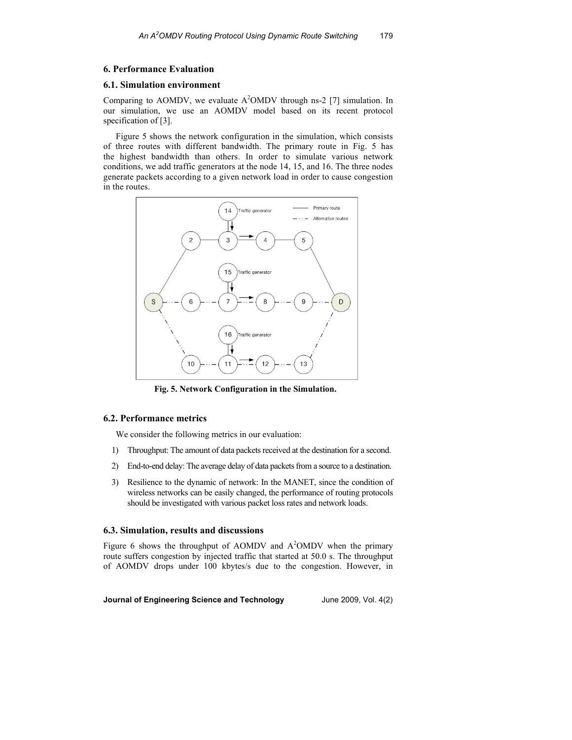### **6. Performance Evaluation**

#### **6.1. Simulation environment**

Comparing to AOMDV, we evaluate  $A^2OMDV$  through ns-2 [7] simulation. In our simulation, we use an AOMDV model based on its recent protocol specification of [3].

Figure 5 shows the network configuration in the simulation, which consists of three routes with different bandwidth. The primary route in Fig. 5 has the highest bandwidth than others. In order to simulate various network conditions, we add traffic generators at the node 14, 15, and 16. The three nodes generate packets according to a given network load in order to cause congestion in the routes.



**Fig. 5. Network Configuration in the Simulation.** 

### **6.2. Performance metrics**

We consider the following metrics in our evaluation:

- 1) Throughput: The amount of data packets received at the destination for a second.
- 2) End-to-end delay: The average delay of data packets from a source to a destination.
- 3) Resilience to the dynamic of network: In the MANET, since the condition of wireless networks can be easily changed, the performance of routing protocols should be investigated with various packet loss rates and network loads.

## **6.3. Simulation, results and discussions**

Figure 6 shows the throughput of AOMDV and  $A<sup>2</sup>OMDV$  when the primary route suffers congestion by injected traffic that started at 50.0 s. The throughput of AOMDV drops under 100 kbytes/s due to the congestion. However, in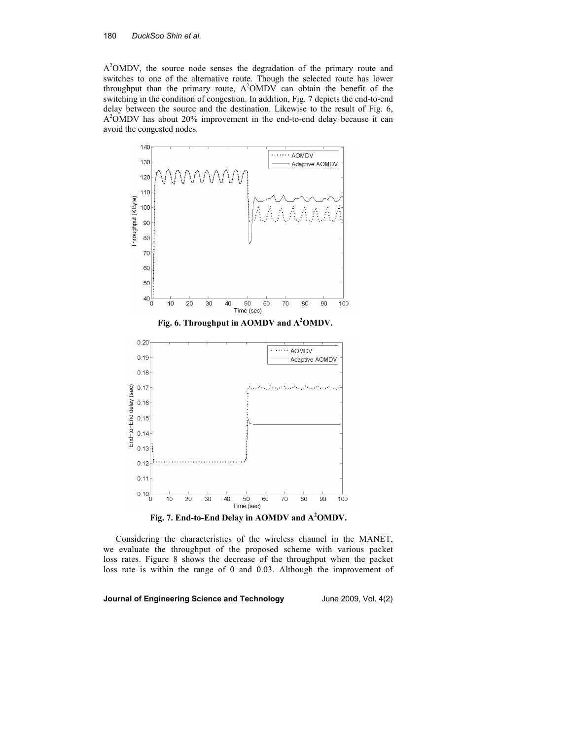#### 180 *DuckSoo Shin et al.*

A<sup>2</sup>OMDV, the source node senses the degradation of the primary route and switches to one of the alternative route. Though the selected route has lower throughput than the primary route,  $A<sup>2</sup>OMDV$  can obtain the benefit of the switching in the condition of congestion. In addition, Fig. 7 depicts the end-to-end delay between the source and the destination. Likewise to the result of Fig. 6, A <sup>2</sup>OMDV has about 20% improvement in the end-to-end delay because it can avoid the congested nodes.



**Fig. 7. End-to-End Delay in AOMDV and A<sup>2</sup>OMDV.** 

Considering the characteristics of the wireless channel in the MANET, we evaluate the throughput of the proposed scheme with various packet loss rates. Figure 8 shows the decrease of the throughput when the packet loss rate is within the range of 0 and 0.03. Although the improvement of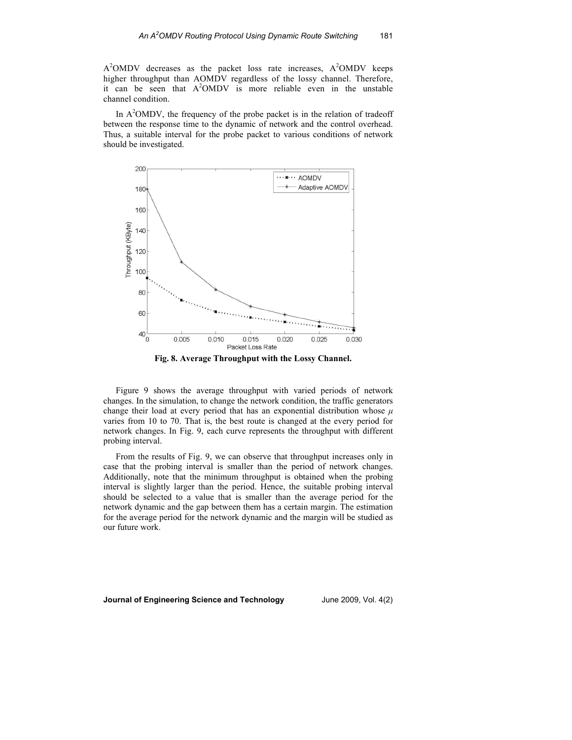$A<sup>2</sup>OMDV$  decreases as the packet loss rate increases,  $A<sup>2</sup>OMDV$  keeps higher throughput than AOMDV regardless of the lossy channel. Therefore, it can be seen that  $A<sup>2</sup>OMDV$  is more reliable even in the unstable channel condition.

In  $A<sup>2</sup>OMDV$ , the frequency of the probe packet is in the relation of tradeoff between the response time to the dynamic of network and the control overhead. Thus, a suitable interval for the probe packet to various conditions of network should be investigated.



**Fig. 8. Average Throughput with the Lossy Channel.** 

Figure 9 shows the average throughput with varied periods of network changes. In the simulation, to change the network condition, the traffic generators change their load at every period that has an exponential distribution whose  $\mu$ varies from 10 to 70. That is, the best route is changed at the every period for network changes. In Fig. 9, each curve represents the throughput with different probing interval.

From the results of Fig. 9, we can observe that throughput increases only in case that the probing interval is smaller than the period of network changes. Additionally, note that the minimum throughput is obtained when the probing interval is slightly larger than the period. Hence, the suitable probing interval should be selected to a value that is smaller than the average period for the network dynamic and the gap between them has a certain margin. The estimation for the average period for the network dynamic and the margin will be studied as our future work.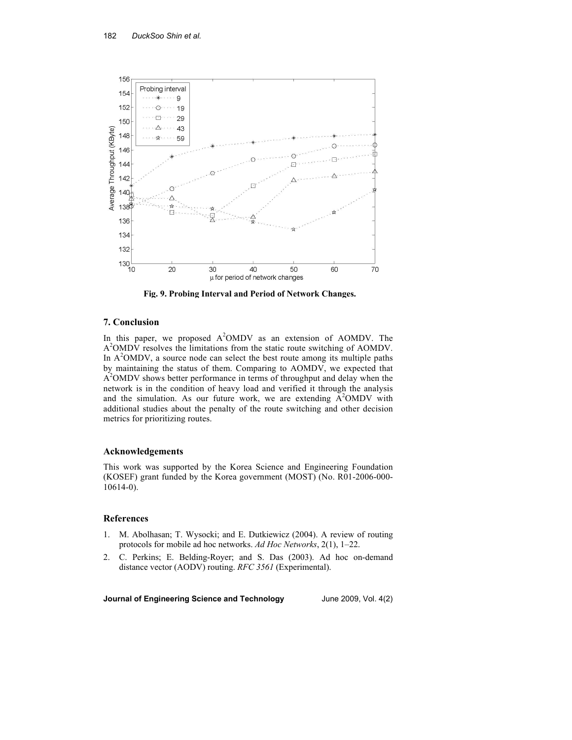

**Fig. 9. Probing Interval and Period of Network Changes.**

## **7. Conclusion**

In this paper, we proposed  $A^2OMDV$  as an extension of AOMDV. The A<sup>2</sup>OMDV resolves the limitations from the static route switching of AOMDV. In  $A<sup>2</sup>OMDV$ , a source node can select the best route among its multiple paths by maintaining the status of them. Comparing to AOMDV, we expected that A<sup>2</sup>OMDV shows better performance in terms of throughput and delay when the network is in the condition of heavy load and verified it through the analysis and the simulation. As our future work, we are extending  $A<sup>2</sup>OMDV$  with additional studies about the penalty of the route switching and other decision metrics for prioritizing routes.

### **Acknowledgements**

This work was supported by the Korea Science and Engineering Foundation (KOSEF) grant funded by the Korea government (MOST) (No. R01-2006-000- 10614-0).

# **References**

- 1. M. Abolhasan; T. Wysocki; and E. Dutkiewicz (2004). A review of routing protocols for mobile ad hoc networks. *Ad Hoc Networks*, 2(1), 1–22.
- 2. C. Perkins; E. Belding-Royer; and S. Das (2003). Ad hoc on-demand distance vector (AODV) routing. *RFC 3561* (Experimental).